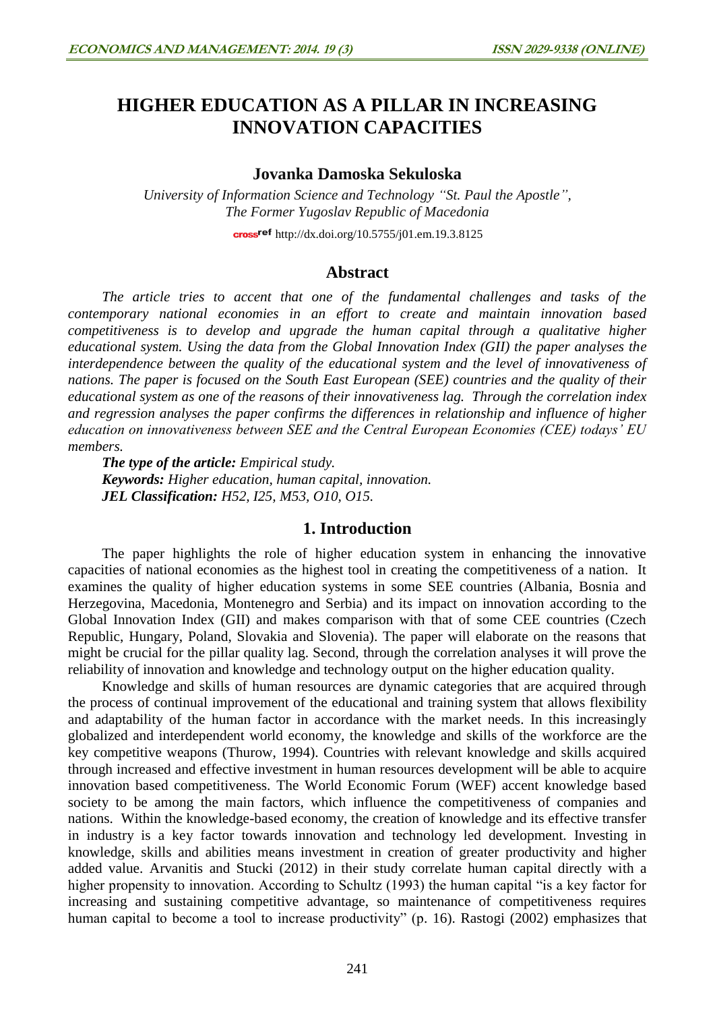# **HIGHER EDUCATION AS A PILLAR IN INCREASING INNOVATION CAPACITIES**

### **Jovanka Damoska Sekuloska**

*University of Information Science and Technology "St. Paul the Apostle", The Former Yugoslav Republic of Macedonia* cross<sup>ref</sup> <http://dx.doi.org/10.5755/j01.em.19.3.8125>

#### **Abstract**

*The article tries to accent that one of the fundamental challenges and tasks of the contemporary national economies in an effort to create and maintain innovation based competitiveness is to develop and upgrade the human capital through a qualitative higher educational system. Using the data from the Global Innovation Index (GII) the paper analyses the interdependence between the quality of the educational system and the level of innovativeness of nations. The paper is focused on the South East European (SEE) countries and the quality of their educational system as one of the reasons of their innovativeness lag. Through the correlation index and regression analyses the paper confirms the differences in relationship and influence of higher education on innovativeness between SEE and the Central European Economies (CEE) todays' EU members.*

*The type of the article: Empirical study. Keywords: Higher education, human capital, innovation. JEL Classification: H52, I25, M53, O10, O15.*

#### **1. Introduction**

The paper highlights the role of higher education system in enhancing the innovative capacities of national economies as the highest tool in creating the competitiveness of a nation. It examines the quality of higher education systems in some SEE countries (Albania, Bosnia and Herzegovina, Macedonia, Montenegro and Serbia) and its impact on innovation according to the Global Innovation Index (GII) and makes comparison with that of some CEE countries (Czech Republic, Hungary, Poland, Slovakia and Slovenia). The paper will elaborate on the reasons that might be crucial for the pillar quality lag. Second, through the correlation analyses it will prove the reliability of innovation and knowledge and technology output on the higher education quality.

Knowledge and skills of human resources are dynamic categories that are acquired through the process of continual improvement of the educational and training system that allows flexibility and adaptability of the human factor in accordance with the market needs. In this increasingly globalized and interdependent world economy, the knowledge and skills of the workforce are the key competitive weapons (Thurow, 1994). Countries with relevant knowledge and skills acquired through increased and effective investment in human resources development will be able to acquire innovation based competitiveness. The World Economic Forum (WEF) accent knowledge based society to be among the main factors, which influence the competitiveness of companies and nations. Within the knowledge-based economy, the creation of knowledge and its effective transfer in industry is a key factor towards innovation and technology led development. Investing in knowledge, skills and abilities means investment in creation of greater productivity and higher added value. Arvanitis and Stucki (2012) in their study correlate human capital directly with a higher propensity to innovation. According to Schultz (1993) the human capital "is a key factor for increasing and sustaining competitive advantage, so maintenance of competitiveness requires human capital to become a tool to increase productivity" (p. 16). Rastogi (2002) emphasizes that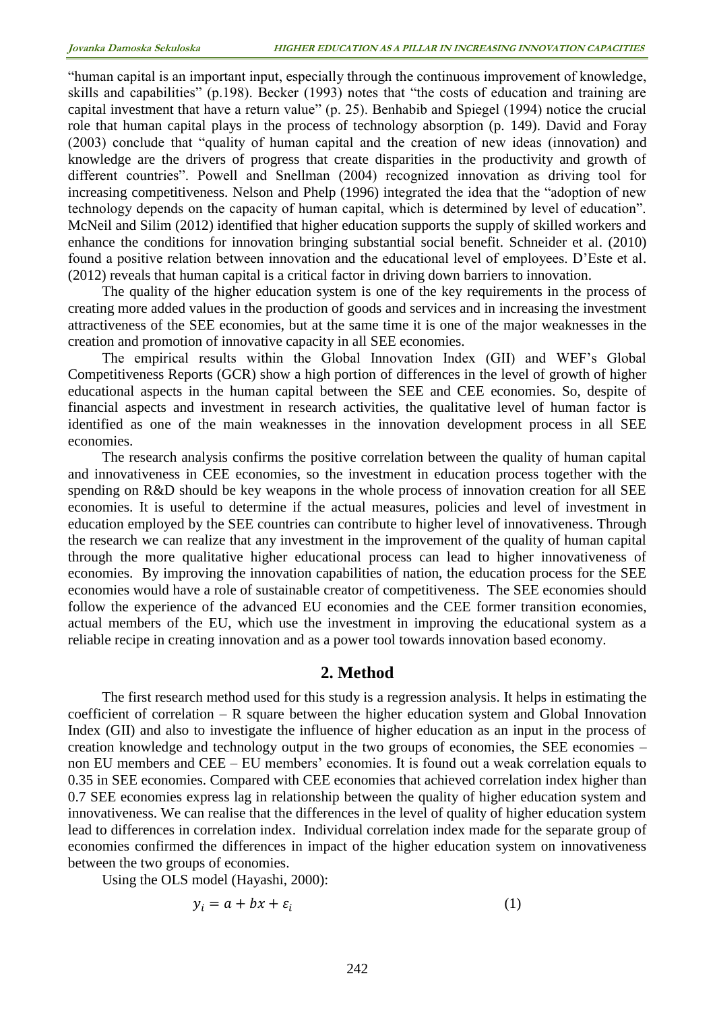"human capital is an important input, especially through the continuous improvement of knowledge, skills and capabilities" (p.198). Becker (1993) notes that "the costs of education and training are capital investment that have a return value" (p. 25). Benhabib and Spiegel (1994) notice the crucial role that human capital plays in the process of technology absorption (p. 149). David and Foray (2003) conclude that "quality of human capital and the creation of new ideas (innovation) and knowledge are the drivers of progress that create disparities in the productivity and growth of different countries". Powell and Snellman (2004) recognized innovation as driving tool for increasing competitiveness. Nelson and Phelp (1996) integrated the idea that the "adoption of new technology depends on the capacity of human capital, which is determined by level of education". McNeil and Silim (2012) identified that higher education supports the supply of skilled workers and enhance the conditions for innovation bringing substantial social benefit. Schneider et al. (2010) found a positive relation between innovation and the educational level of employees. D'Este et al. (2012) reveals that human capital is a critical factor in driving down barriers to innovation.

The quality of the higher education system is one of the key requirements in the process of creating more added values in the production of goods and services and in increasing the investment attractiveness of the SEE economies, but at the same time it is one of the major weaknesses in the creation and promotion of innovative capacity in all SEE economies.

The empirical results within the Global Innovation Index (GII) and WEF's Global Competitiveness Reports (GCR) show a high portion of differences in the level of growth of higher educational aspects in the human capital between the SEE and CEE economies. So, despite of financial aspects and investment in research activities, the qualitative level of human factor is identified as one of the main weaknesses in the innovation development process in all SEE economies.

The research analysis confirms the positive correlation between the quality of human capital and innovativeness in CEE economies, so the investment in education process together with the spending on R&D should be key weapons in the whole process of innovation creation for all SEE economies. It is useful to determine if the actual measures, policies and level of investment in education employed by the SEE countries can contribute to higher level of innovativeness. Through the research we can realize that any investment in the improvement of the quality of human capital through the more qualitative higher educational process can lead to higher innovativeness of economies. By improving the innovation capabilities of nation, the education process for the SEE economies would have a role of sustainable creator of competitiveness. The SEE economies should follow the experience of the advanced EU economies and the CEE former transition economies, actual members of the EU, which use the investment in improving the educational system as a reliable recipe in creating innovation and as a power tool towards innovation based economy.

### **2. Method**

The first research method used for this study is a regression analysis. It helps in estimating the coefficient of correlation – R square between the higher education system and Global Innovation Index (GII) and also to investigate the influence of higher education as an input in the process of creation knowledge and technology output in the two groups of economies, the SEE economies – non EU members and CEE – EU members' economies. It is found out a weak correlation equals to 0.35 in SEE economies. Compared with CEE economies that achieved correlation index higher than 0.7 SEE economies express lag in relationship between the quality of higher education system and innovativeness. We can realise that the differences in the level of quality of higher education system lead to differences in correlation index. Individual correlation index made for the separate group of economies confirmed the differences in impact of the higher education system on innovativeness between the two groups of economies.

Using the OLS model (Hayashi, 2000):

$$
y_i = a + bx + \varepsilon_i \tag{1}
$$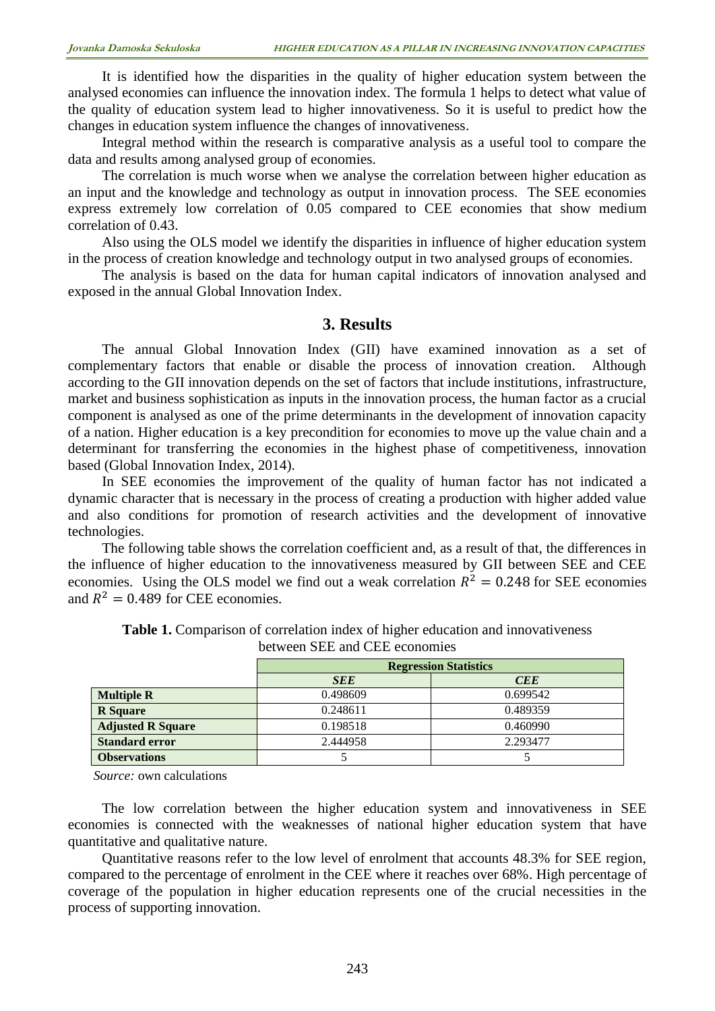It is identified how the disparities in the quality of higher education system between the analysed economies can influence the innovation index. The formula 1 helps to detect what value of the quality of education system lead to higher innovativeness. So it is useful to predict how the changes in education system influence the changes of innovativeness.

Integral method within the research is comparative analysis as a useful tool to compare the data and results among analysed group of economies.

The correlation is much worse when we analyse the correlation between higher education as an input and the knowledge and technology as output in innovation process. The SEE economies express extremely low correlation of 0.05 compared to CEE economies that show medium correlation of 0.43.

Also using the OLS model we identify the disparities in influence of higher education system in the process of creation knowledge and technology output in two analysed groups of economies.

The analysis is based on the data for human capital indicators of innovation analysed and exposed in the annual Global Innovation Index.

## **3. Results**

The annual Global Innovation Index (GII) have examined innovation as a set of complementary factors that enable or disable the process of innovation creation. Although according to the GII innovation depends on the set of factors that include institutions, infrastructure, market and business sophistication as inputs in the innovation process, the human factor as a crucial component is analysed as one of the prime determinants in the development of innovation capacity of a nation. Higher education is a key precondition for economies to move up the value chain and a determinant for transferring the economies in the highest phase of competitiveness, innovation based (Global Innovation Index, 2014).

In SEE economies the improvement of the quality of human factor has not indicated a dynamic character that is necessary in the process of creating a production with higher added value and also conditions for promotion of research activities and the development of innovative technologies.

The following table shows the correlation coefficient and, as a result of that, the differences in the influence of higher education to the innovativeness measured by GII between SEE and CEE economies. Using the OLS model we find out a weak correlation  $R^2 = 0.248$  for SEE economies and  $R^2 = 0.489$  for CEE economies.

|                          | <b>Regression Statistics</b> |            |  |  |
|--------------------------|------------------------------|------------|--|--|
|                          | <b>SEE</b>                   | <b>CEE</b> |  |  |
| <b>Multiple R</b>        | 0.498609                     | 0.699542   |  |  |
| <b>R</b> Square          | 0.248611                     | 0.489359   |  |  |
| <b>Adjusted R Square</b> | 0.198518                     | 0.460990   |  |  |
| <b>Standard error</b>    | 2.444958                     | 2.293477   |  |  |
| <b>Observations</b>      |                              |            |  |  |

**Table 1.** Comparison of correlation index of higher education and innovativeness between SEE and CEE economies

*Source:* own calculations

The low correlation between the higher education system and innovativeness in SEE economies is connected with the weaknesses of national higher education system that have quantitative and qualitative nature.

Quantitative reasons refer to the low level of enrolment that accounts 48.3% for SEE region, compared to the percentage of enrolment in the CEE where it reaches over 68%. High percentage of coverage of the population in higher education represents one of the crucial necessities in the process of supporting innovation.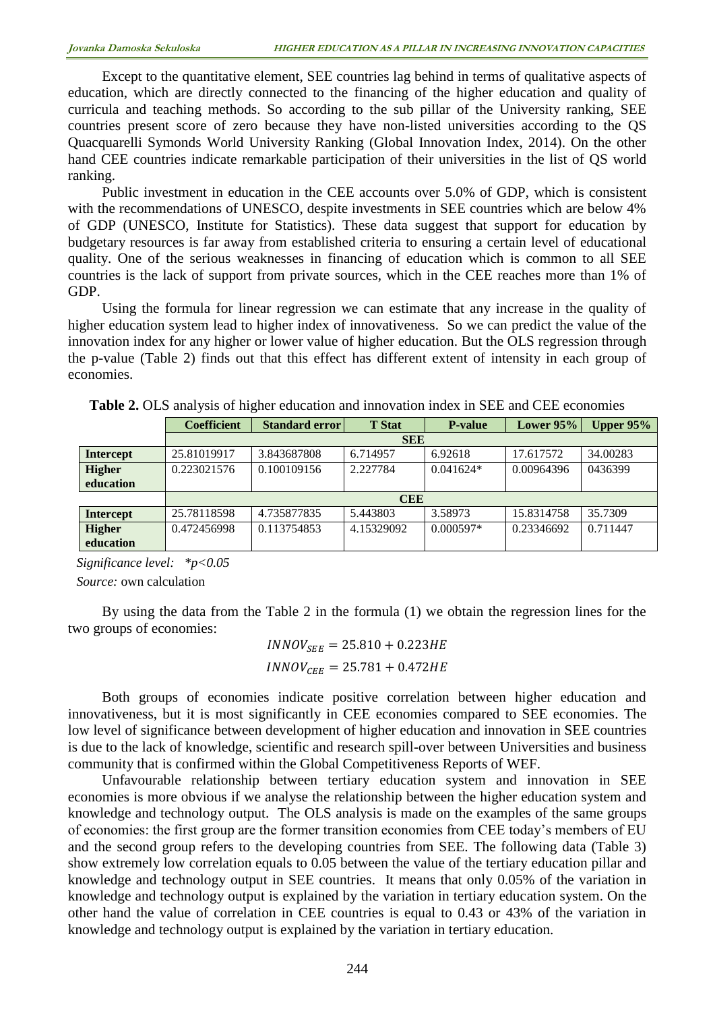Except to the quantitative element, SEE countries lag behind in terms of qualitative aspects of education, which are directly connected to the financing of the higher education and quality of curricula and teaching methods. So according to the sub pillar of the University ranking, SEE countries present score of zero because they have non-listed universities according to the QS Quacquarelli Symonds World University Ranking (Global Innovation Index, 2014). On the other hand CEE countries indicate remarkable participation of their universities in the list of QS world ranking.

Public investment in education in the CEE accounts over 5.0% of GDP, which is consistent with the recommendations of UNESCO, despite investments in SEE countries which are below 4% of GDP (UNESCO, Institute for Statistics). These data suggest that support for education by budgetary resources is far away from established criteria to ensuring a certain level of educational quality. One of the serious weaknesses in financing of education which is common to all SEE countries is the lack of support from private sources, which in the CEE reaches more than 1% of GDP.

Using the formula for linear regression we can estimate that any increase in the quality of higher education system lead to higher index of innovativeness. So we can predict the value of the innovation index for any higher or lower value of higher education. But the OLS regression through the p-value (Table 2) finds out that this effect has different extent of intensity in each group of economies.

|                  | <b>Coefficient</b> | Standard error | <b>T</b> Stat | <b>P-value</b> | Lower $95%$ | Upper $95%$ |  |  |
|------------------|--------------------|----------------|---------------|----------------|-------------|-------------|--|--|
|                  | <b>SEE</b>         |                |               |                |             |             |  |  |
| <b>Intercept</b> | 25.81019917        | 3.843687808    | 6.714957      | 6.92618        | 17.617572   | 34.00283    |  |  |
| <b>Higher</b>    | 0.223021576        | 0.100109156    | 2.227784      | $0.041624*$    | 0.00964396  | 0436399     |  |  |
| education        |                    |                |               |                |             |             |  |  |
|                  | <b>CEE</b>         |                |               |                |             |             |  |  |
| <b>Intercept</b> | 25.78118598        | 4.735877835    | 5.443803      | 3.58973        | 15.8314758  | 35.7309     |  |  |
| <b>Higher</b>    | 0.472456998        | 0.113754853    | 4.15329092    | $0.000597*$    | 0.23346692  | 0.711447    |  |  |
| education        |                    |                |               |                |             |             |  |  |

**Table 2.** OLS analysis of higher education and innovation index in SEE and CEE economies

*Significance level: \*p<0.05* 

*Source:* own calculation

By using the data from the Table 2 in the formula (1) we obtain the regression lines for the two groups of economies:

$$
INNOV_{SEE} = 25.810 + 0.223HE
$$
  

$$
INNOV_{CEE} = 25.781 + 0.472HE
$$

Both groups of economies indicate positive correlation between higher education and innovativeness, but it is most significantly in CEE economies compared to SEE economies. The low level of significance between development of higher education and innovation in SEE countries is due to the lack of knowledge, scientific and research spill-over between Universities and business community that is confirmed within the Global Competitiveness Reports of WEF.

Unfavourable relationship between tertiary education system and innovation in SEE economies is more obvious if we analyse the relationship between the higher education system and knowledge and technology output. The OLS analysis is made on the examples of the same groups of economies: the first group are the former transition economies from CEE today's members of EU and the second group refers to the developing countries from SEE. The following data (Table 3) show extremely low correlation equals to 0.05 between the value of the tertiary education pillar and knowledge and technology output in SEE countries. It means that only 0.05% of the variation in knowledge and technology output is explained by the variation in tertiary education system. On the other hand the value of correlation in CEE countries is equal to 0.43 or 43% of the variation in knowledge and technology output is explained by the variation in tertiary education.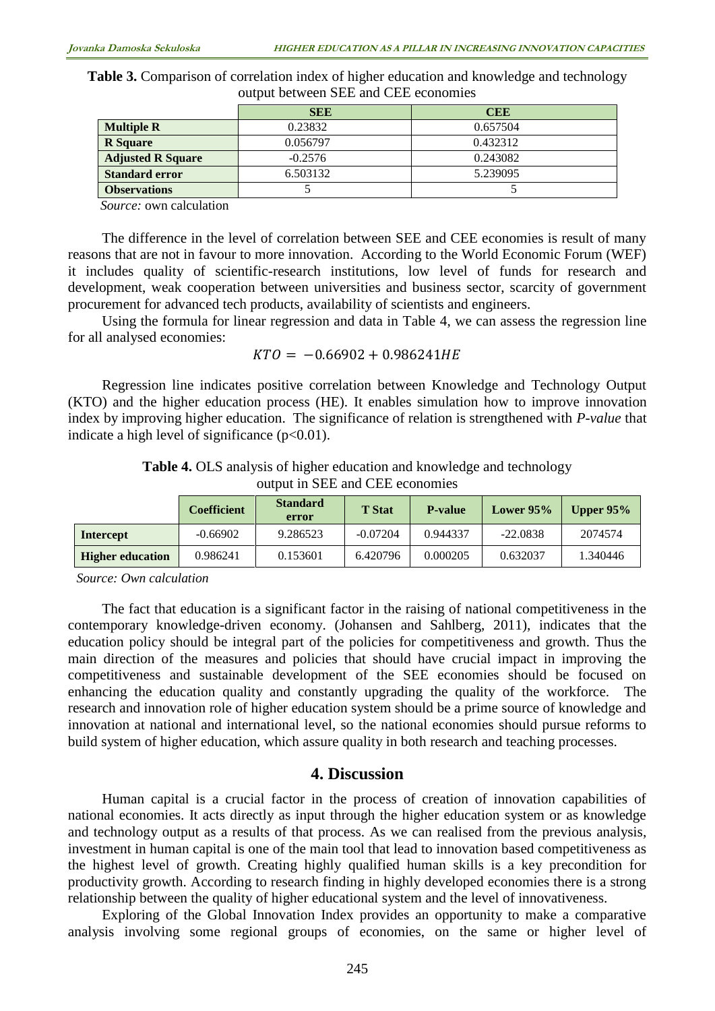**Table 3.** Comparison of correlation index of higher education and knowledge and technology output between SEE and CEE economies

|                          | <b>SEE</b> | <b>CEE</b> |
|--------------------------|------------|------------|
| <b>Multiple R</b>        | 0.23832    | 0.657504   |
| <b>R</b> Square          | 0.056797   | 0.432312   |
| <b>Adjusted R Square</b> | $-0.2576$  | 0.243082   |
| <b>Standard error</b>    | 6.503132   | 5.239095   |
| <b>Observations</b>      |            |            |

*Source:* own calculation

The difference in the level of correlation between SEE and CEE economies is result of many reasons that are not in favour to more innovation. According to the World Economic Forum (WEF) it includes quality of scientific-research institutions, low level of funds for research and development, weak cooperation between universities and business sector, scarcity of government procurement for advanced tech products, availability of scientists and engineers.

Using the formula for linear regression and data in Table 4, we can assess the regression line for all analysed economies:

$$
KTO = -0.66902 + 0.986241HE
$$

Regression line indicates positive correlation between Knowledge and Technology Output (KTO) and the higher education process (HE). It enables simulation how to improve innovation index by improving higher education. The significance of relation is strengthened with *P-value* that indicate a high level of significance  $(p<0.01)$ .

|  |  |                                 | <b>Table 4.</b> OLS analysis of higher education and knowledge and technology |  |  |
|--|--|---------------------------------|-------------------------------------------------------------------------------|--|--|
|  |  | output in SEE and CEE economies |                                                                               |  |  |

|                         | Coefficient | <b>Standard</b><br>error | <b>T</b> Stat | <b>P-value</b> | Lower $95\%$ | Upper $95\%$ |
|-------------------------|-------------|--------------------------|---------------|----------------|--------------|--------------|
| Intercept               | $-0.66902$  | 9.286523                 | $-0.07204$    | 0.944337       | $-22.0838$   | 2074574      |
| <b>Higher education</b> | 0.986241    | 0.153601                 | 6.420796      | 0.000205       | 0.632037     | 1.340446     |

*Source: Own calculation*

The fact that education is a significant factor in the raising of national competitiveness in the contemporary knowledge-driven economy. (Johansen and Sahlberg, 2011), indicates that the education policy should be integral part of the policies for competitiveness and growth. Thus the main direction of the measures and policies that should have crucial impact in improving the competitiveness and sustainable development of the SEE economies should be focused on enhancing the education quality and constantly upgrading the quality of the workforce. The research and innovation role of higher education system should be a prime source of knowledge and innovation at national and international level, so the national economies should pursue reforms to build system of higher education, which assure quality in both research and teaching processes.

#### **4. Discussion**

Human capital is a crucial factor in the process of creation of innovation capabilities of national economies. It acts directly as input through the higher education system or as knowledge and technology output as a results of that process. As we can realised from the previous analysis, investment in human capital is one of the main tool that lead to innovation based competitiveness as the highest level of growth. Creating highly qualified human skills is a key precondition for productivity growth. According to research finding in highly developed economies there is a strong relationship between the quality of higher educational system and the level of innovativeness.

Exploring of the Global Innovation Index provides an opportunity to make a comparative analysis involving some regional groups of economies, on the same or higher level of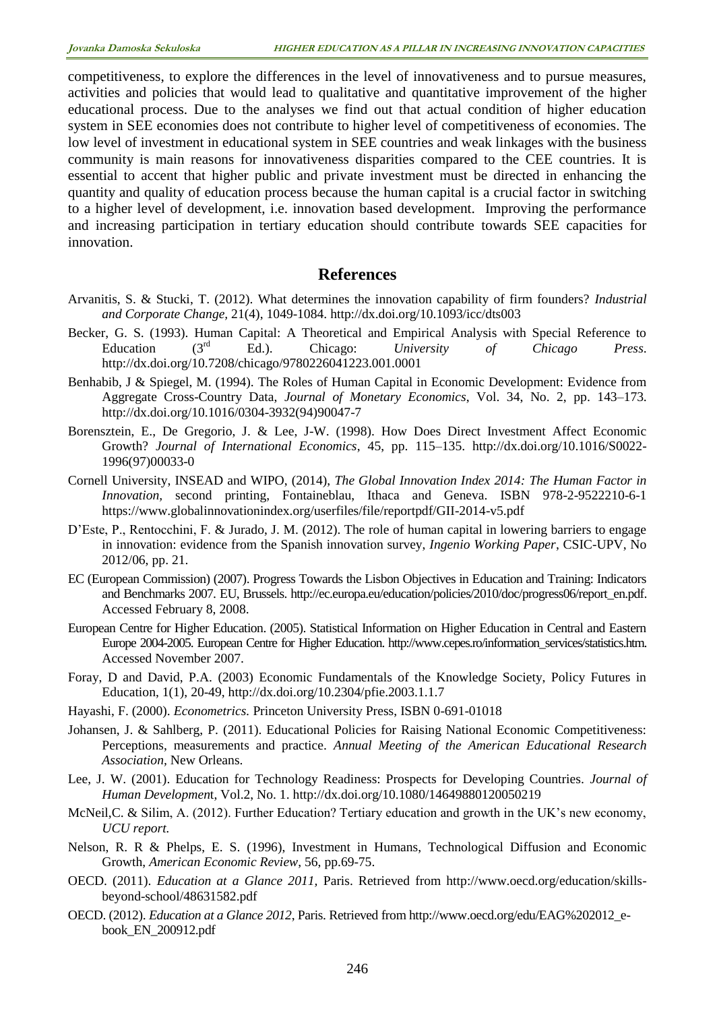competitiveness, to explore the differences in the level of innovativeness and to pursue measures, activities and policies that would lead to qualitative and quantitative improvement of the higher educational process. Due to the analyses we find out that actual condition of higher education system in SEE economies does not contribute to higher level of competitiveness of economies. The low level of investment in educational system in SEE countries and weak linkages with the business community is main reasons for innovativeness disparities compared to the CEE countries. It is essential to accent that higher public and private investment must be directed in enhancing the quantity and quality of education process because the human capital is a crucial factor in switching to a higher level of development, i.e. innovation based development. Improving the performance and increasing participation in tertiary education should contribute towards SEE capacities for innovation.

## **References**

- Arvanitis, S. & Stucki, T. (2012). What determines the innovation capability of firm founders? *Industrial and Corporate Change,* 21(4), 1049-1084. <http://dx.doi.org/10.1093/icc/dts003>
- Becker, G. S. (1993). Human Capital: A Theoretical and Empirical Analysis with Special Reference to Education (3rd Ed.). Chicago: *University of Chicago Press*. <http://dx.doi.org/10.7208/chicago/9780226041223.001.0001>
- Benhabib, J & Spiegel, M. (1994). The Roles of Human Capital in Economic Development: Evidence from Aggregate Cross-Country Data, *Journal of Monetary Economics*, Vol. 34, No. 2, pp. 143–173. [http://dx.doi.org/10.1016/0304-3932\(94\)90047-7](http://dx.doi.org/10.1016/0304-3932(94)90047-7)
- Borensztein, E., De Gregorio, J. & Lee, J-W. (1998). How Does Direct Investment Affect Economic Growth? *Journal of International Economics*, 45, pp. 115–135. [http://dx.doi.org/10.1016/S0022-](http://dx.doi.org/10.1016/S0022-1996(97)00033-0) [1996\(97\)00033-0](http://dx.doi.org/10.1016/S0022-1996(97)00033-0)
- Cornell University, INSEAD and WIPO, (2014), *The Global Innovation Index 2014: The Human Factor in Innovation,* second printing, Fontaineblau, Ithaca and Geneva. ISBN 978-2-9522210-6-1 <https://www.globalinnovationindex.org/userfiles/file/reportpdf/GII-2014-v5.pdf>
- D'Este, P., Rentocchini, F. & Jurado, J. M. (2012). The role of human capital in lowering barriers to engage in innovation: evidence from the Spanish innovation survey, *Ingenio Working Paper*, CSIC-UPV, No 2012/06, pp. 21.
- EC (European Commission) (2007). Progress Towards the Lisbon Objectives in Education and Training: Indicators and Benchmarks 2007. EU, Brussels. http://ec.europa.eu/education/policies/2010/doc/progress06/report\_en.pdf. Accessed February 8, 2008.
- European Centre for Higher Education. (2005). Statistical Information on Higher Education in Central and Eastern Europe 2004-2005. European Centre for Higher Education. http://www.cepes.ro/information\_services/statistics.htm. Accessed November 2007.
- Foray, D and David, P.A. (2003) Economic Fundamentals of the Knowledge Society, Policy Futures in Education, 1(1), 20-49,<http://dx.doi.org/10.2304/pfie.2003.1.1.7>
- Hayashi, F. (2000). *Econometrics.* Princeton University Press, ISBN 0-691-01018
- Johansen, J. & Sahlberg, P. (2011). Educational Policies for Raising National Economic Competitiveness: Perceptions, measurements and practice. *Annual Meeting of the American Educational Research Association,* New Orleans.
- Lee, J. W. (2001). Education for Technology Readiness: Prospects for Developing Countries. *Journal of Human Developmen*t, Vol.2, No. 1. <http://dx.doi.org/10.1080/14649880120050219>
- McNeil,C. & Silim, A. (2012). Further Education? Tertiary education and growth in the UK's new economy, *UCU report.*
- Nelson, R. R & Phelps, E. S. (1996), Investment in Humans, Technological Diffusion and Economic Growth, *American Economic Review*, 56, pp.69-75.
- OECD. (2011). *Education at a Glance 2011,* Paris. Retrieved from http://www.oecd.org/education/skillsbeyond-school/48631582.pdf
- OECD. (2012). *Education at a Glance 2012*, Paris. Retrieved from [http://www.oecd.org/edu/EAG%202012\\_e](http://www.oecd.org/edu/EAG%202012_e-book_EN_200912.pdf)[book\\_EN\\_200912.pdf](http://www.oecd.org/edu/EAG%202012_e-book_EN_200912.pdf)